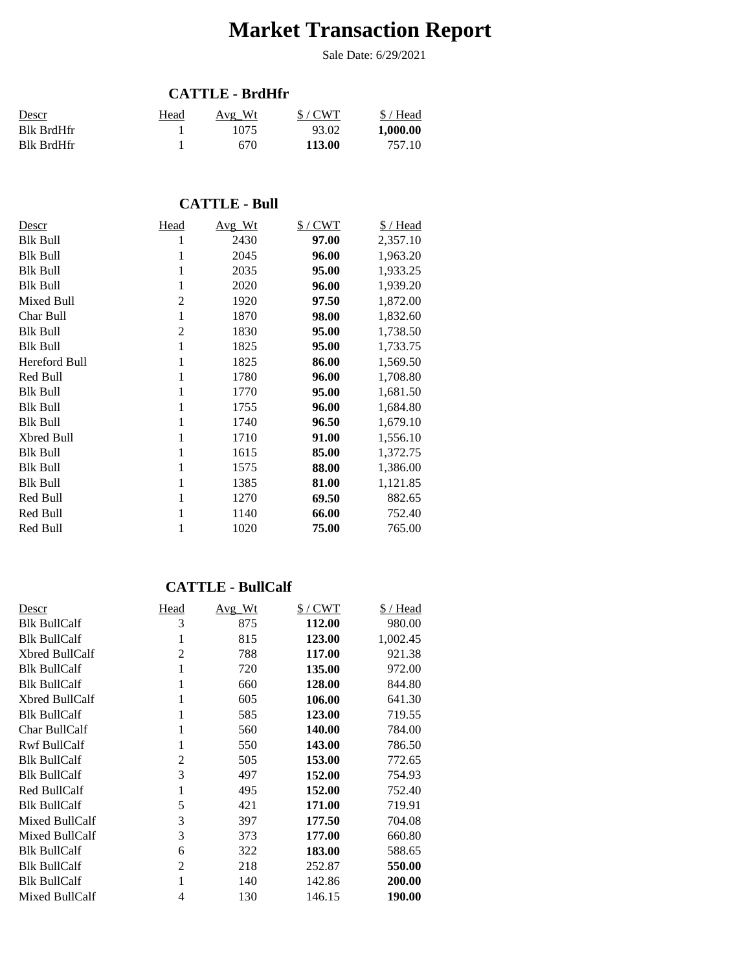# **Market Transaction Report**

Sale Date: 6/29/2021

#### **CATTLE - BrdHfr**

| <u>Descr</u> | Head | Avg Wt | S/CWT  | $$/$ Head |
|--------------|------|--------|--------|-----------|
| Blk BrdHfr   |      | 1075   | 93.02  | 1,000.00  |
| Blk BrdHfr   |      | 670    | 113.00 | 757.10    |

#### **CATTLE - Bull**

| Descr           | Head           | Avg Wt | $$/$ CWT | \$/Head  |
|-----------------|----------------|--------|----------|----------|
| Blk Bull        |                | 2430   | 97.00    | 2,357.10 |
| <b>Blk Bull</b> | 1              | 2045   | 96.00    | 1,963.20 |
| <b>Blk Bull</b> | 1              | 2035   | 95.00    | 1,933.25 |
| <b>Blk Bull</b> | 1              | 2020   | 96.00    | 1,939.20 |
| Mixed Bull      | 2              | 1920   | 97.50    | 1,872.00 |
| Char Bull       | $\mathbf 1$    | 1870   | 98.00    | 1,832.60 |
| <b>Blk Bull</b> | $\overline{c}$ | 1830   | 95.00    | 1,738.50 |
| <b>Blk Bull</b> | 1              | 1825   | 95.00    | 1,733.75 |
| Hereford Bull   | 1              | 1825   | 86.00    | 1,569.50 |
| Red Bull        | 1              | 1780   | 96.00    | 1,708.80 |
| <b>Blk Bull</b> | 1              | 1770   | 95.00    | 1,681.50 |
| <b>Blk Bull</b> | 1              | 1755   | 96.00    | 1,684.80 |
| Blk Bull        | 1              | 1740   | 96.50    | 1,679.10 |
| Xbred Bull      | 1              | 1710   | 91.00    | 1,556.10 |
| Blk Bull        | 1              | 1615   | 85.00    | 1,372.75 |
| <b>Blk Bull</b> | 1              | 1575   | 88.00    | 1,386.00 |
| <b>Blk Bull</b> | 1              | 1385   | 81.00    | 1,121.85 |
| Red Bull        | 1              | 1270   | 69.50    | 882.65   |
| Red Bull        | 1              | 1140   | 66.00    | 752.40   |
| Red Bull        | 1              | 1020   | 75.00    | 765.00   |

#### **CATTLE - BullCalf**

| Descr               | Head           | $Avg_Wt$ | $$/$ CWT | \$ / Head |
|---------------------|----------------|----------|----------|-----------|
| <b>Blk BullCalf</b> | 3              | 875      | 112.00   | 980.00    |
| <b>Blk BullCalf</b> | 1              | 815      | 123.00   | 1,002.45  |
| Xbred BullCalf      | $\mathfrak{D}$ | 788      | 117.00   | 921.38    |
| <b>Blk BullCalf</b> | 1              | 720      | 135.00   | 972.00    |
| <b>Blk BullCalf</b> | 1              | 660      | 128.00   | 844.80    |
| Xbred BullCalf      |                | 605      | 106.00   | 641.30    |
| <b>Blk BullCalf</b> | 1              | 585      | 123.00   | 719.55    |
| Char BullCalf       |                | 560      | 140.00   | 784.00    |
| <b>Rwf BullCalf</b> | 1              | 550      | 143.00   | 786.50    |
| <b>Blk BullCalf</b> | $\overline{c}$ | 505      | 153.00   | 772.65    |
| <b>Blk BullCalf</b> | 3              | 497      | 152.00   | 754.93    |
| Red BullCalf        | 1              | 495      | 152.00   | 752.40    |
| <b>Blk BullCalf</b> | 5              | 421      | 171.00   | 719.91    |
| Mixed BullCalf      | 3              | 397      | 177.50   | 704.08    |
| Mixed BullCalf      | 3              | 373      | 177.00   | 660.80    |
| <b>Blk BullCalf</b> | 6              | 322      | 183.00   | 588.65    |
| <b>Blk BullCalf</b> | 2              | 218      | 252.87   | 550.00    |
| <b>Blk BullCalf</b> |                | 140      | 142.86   | 200.00    |
| Mixed BullCalf      | 4              | 130      | 146.15   | 190.00    |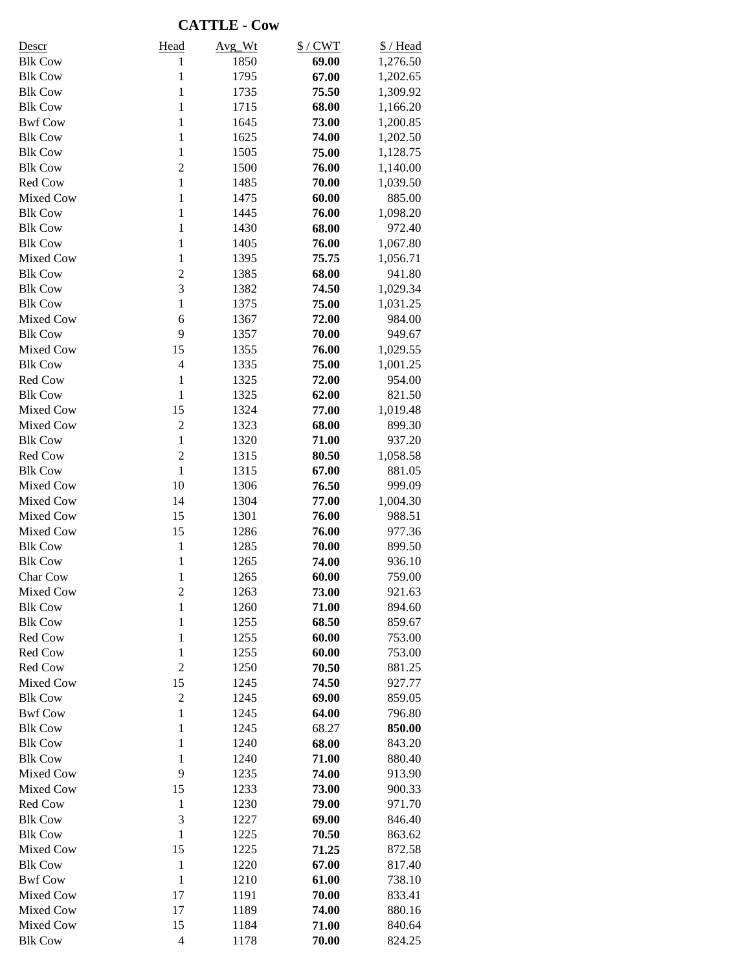**CATTLE - Cow**

| <b>Descr</b>     | Head                    | Avg Wt | $$/$ CWT | \$/Head  |
|------------------|-------------------------|--------|----------|----------|
| <b>Blk Cow</b>   | 1                       | 1850   | 69.00    | 1,276.50 |
| <b>Blk Cow</b>   | $\mathbf{1}$            | 1795   | 67.00    | 1,202.65 |
| <b>Blk Cow</b>   | $\mathbf{1}$            | 1735   | 75.50    | 1,309.92 |
| <b>Blk Cow</b>   | $\mathbf{1}$            | 1715   | 68.00    | 1,166.20 |
| <b>Bwf Cow</b>   | $\mathbf{1}$            | 1645   | 73.00    | 1,200.85 |
| <b>Blk Cow</b>   | $\mathbf{1}$            | 1625   | 74.00    | 1,202.50 |
| <b>Blk Cow</b>   | $\mathbf{1}$            | 1505   | 75.00    | 1,128.75 |
| <b>Blk Cow</b>   | $\overline{2}$          | 1500   | 76.00    | 1,140.00 |
| Red Cow          | $\mathbf{1}$            | 1485   | 70.00    | 1,039.50 |
| Mixed Cow        | $\mathbf{1}$            | 1475   | 60.00    | 885.00   |
| <b>Blk Cow</b>   | $\mathbf{1}$            | 1445   | 76.00    | 1,098.20 |
| <b>Blk Cow</b>   | $\mathbf{1}$            | 1430   | 68.00    | 972.40   |
| <b>Blk Cow</b>   | $\mathbf{1}$            | 1405   | 76.00    | 1,067.80 |
| Mixed Cow        | $\mathbf{1}$            | 1395   | 75.75    | 1,056.71 |
| <b>Blk Cow</b>   | $\overline{c}$          | 1385   | 68.00    | 941.80   |
| <b>Blk Cow</b>   | 3                       | 1382   | 74.50    | 1,029.34 |
| <b>Blk Cow</b>   | $\mathbf{1}$            | 1375   | 75.00    | 1,031.25 |
| Mixed Cow        | 6                       | 1367   | 72.00    | 984.00   |
| <b>Blk Cow</b>   | 9                       | 1357   | 70.00    | 949.67   |
| <b>Mixed Cow</b> | 15                      | 1355   | 76.00    | 1,029.55 |
| <b>Blk Cow</b>   | $\overline{4}$          | 1335   | 75.00    | 1,001.25 |
| Red Cow          | $\mathbf{1}$            | 1325   | 72.00    | 954.00   |
| <b>Blk Cow</b>   | $\mathbf{1}$            | 1325   | 62.00    | 821.50   |
| Mixed Cow        | 15                      | 1324   | 77.00    | 1,019.48 |
| <b>Mixed Cow</b> | $\overline{2}$          | 1323   | 68.00    | 899.30   |
| <b>Blk Cow</b>   | $\mathbf{1}$            | 1320   | 71.00    | 937.20   |
|                  |                         |        |          |          |
| Red Cow          | $\overline{c}$          | 1315   | 80.50    | 1,058.58 |
| <b>Blk Cow</b>   | $\mathbf{1}$            | 1315   | 67.00    | 881.05   |
| Mixed Cow        | 10                      | 1306   | 76.50    | 999.09   |
| Mixed Cow        | 14                      | 1304   | 77.00    | 1,004.30 |
| <b>Mixed Cow</b> | 15                      | 1301   | 76.00    | 988.51   |
| Mixed Cow        | 15                      | 1286   | 76.00    | 977.36   |
| <b>Blk Cow</b>   | $\mathbf{1}$            | 1285   | 70.00    | 899.50   |
| <b>Blk Cow</b>   | 1                       | 1265   | 74.00    | 936.10   |
| Char Cow         | $\mathbf{1}$            | 1265   | 60.00    | 759.00   |
| <b>Mixed Cow</b> | $\overline{\mathbf{c}}$ | 1263   | 73.00    | 921.63   |
| <b>Blk Cow</b>   | 1                       | 1260   | 71.00    | 894.60   |
| <b>Blk Cow</b>   | $\mathbf{1}$            | 1255   | 68.50    | 859.67   |
| Red Cow          | $\mathbf{1}$            | 1255   | 60.00    | 753.00   |
| Red Cow          | $\mathbf{1}$            | 1255   | 60.00    | 753.00   |
| Red Cow          | $\overline{2}$          | 1250   | 70.50    | 881.25   |
| Mixed Cow        | 15                      | 1245   | 74.50    | 927.77   |
| <b>Blk Cow</b>   | $\mathfrak{2}$          | 1245   | 69.00    | 859.05   |
| <b>Bwf Cow</b>   | $\mathbf{1}$            | 1245   | 64.00    | 796.80   |
| <b>Blk Cow</b>   | $\mathbf{1}$            | 1245   | 68.27    | 850.00   |
| <b>Blk Cow</b>   | $\mathbf{1}$            | 1240   | 68.00    | 843.20   |
| <b>Blk Cow</b>   | $\mathbf{1}$            | 1240   | 71.00    | 880.40   |
| Mixed Cow        | 9                       | 1235   | 74.00    | 913.90   |
| Mixed Cow        | 15                      | 1233   | 73.00    | 900.33   |
| Red Cow          | $\mathbf{1}$            | 1230   | 79.00    | 971.70   |
| <b>Blk Cow</b>   | 3                       | 1227   | 69.00    | 846.40   |
| <b>Blk Cow</b>   | $\mathbf{1}$            | 1225   | 70.50    | 863.62   |
| Mixed Cow        | 15                      | 1225   | 71.25    | 872.58   |
| <b>Blk Cow</b>   | $\mathbf{1}$            | 1220   | 67.00    | 817.40   |
| <b>Bwf Cow</b>   | $\mathbf{1}$            | 1210   | 61.00    | 738.10   |
| Mixed Cow        | 17                      | 1191   | 70.00    | 833.41   |
| Mixed Cow        | 17                      | 1189   | 74.00    | 880.16   |
| Mixed Cow        | 15                      | 1184   | 71.00    | 840.64   |
| <b>Blk Cow</b>   | $\overline{4}$          | 1178   | 70.00    | 824.25   |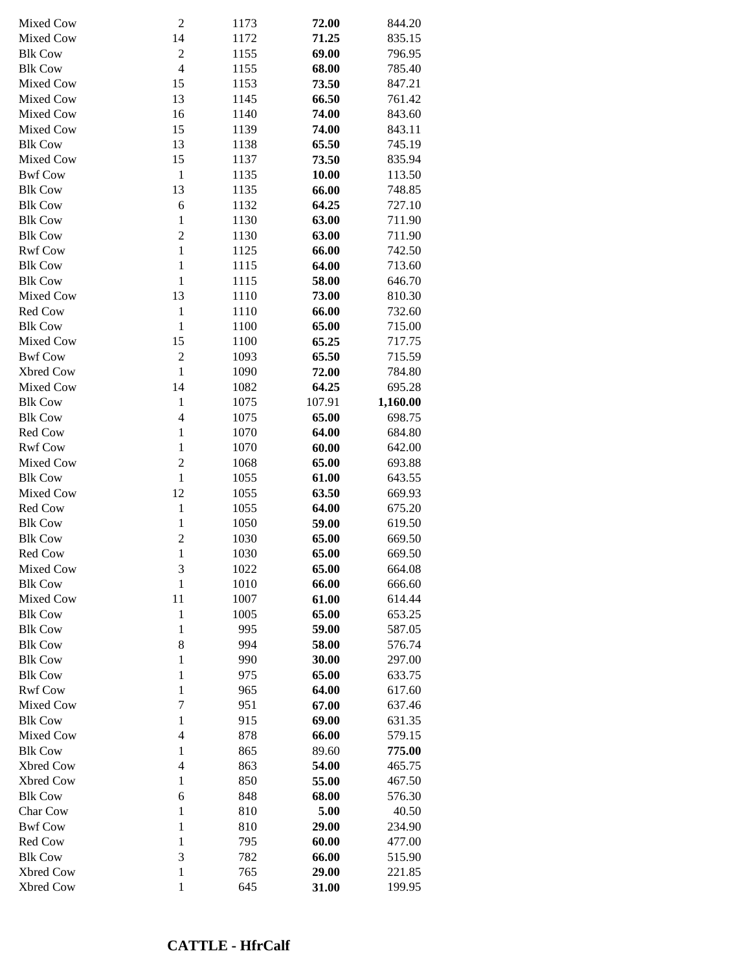| Mixed Cow      | $\boldsymbol{2}$         | 1173 | 72.00  | 844.20   |
|----------------|--------------------------|------|--------|----------|
| Mixed Cow      | 14                       | 1172 | 71.25  | 835.15   |
| <b>Blk Cow</b> | $\sqrt{2}$               | 1155 | 69.00  | 796.95   |
| <b>Blk Cow</b> | $\overline{\mathcal{L}}$ | 1155 | 68.00  | 785.40   |
| Mixed Cow      | 15                       | 1153 | 73.50  | 847.21   |
| Mixed Cow      | 13                       | 1145 | 66.50  | 761.42   |
| Mixed Cow      | 16                       | 1140 | 74.00  | 843.60   |
| Mixed Cow      | 15                       | 1139 | 74.00  | 843.11   |
| <b>Blk Cow</b> | 13                       | 1138 | 65.50  | 745.19   |
| Mixed Cow      | 15                       | 1137 | 73.50  | 835.94   |
| <b>Bwf Cow</b> | $\mathbf{1}$             | 1135 | 10.00  | 113.50   |
| <b>Blk Cow</b> | 13                       | 1135 | 66.00  | 748.85   |
| <b>Blk Cow</b> | 6                        | 1132 | 64.25  | 727.10   |
| <b>Blk Cow</b> | $\mathbf{1}$             | 1130 | 63.00  | 711.90   |
| <b>Blk Cow</b> | $\overline{c}$           | 1130 | 63.00  | 711.90   |
| <b>Rwf Cow</b> | $\mathbf{1}$             | 1125 | 66.00  | 742.50   |
| <b>Blk Cow</b> | $\mathbf{1}$             | 1115 | 64.00  | 713.60   |
| <b>Blk Cow</b> | $\mathbf{1}$             | 1115 | 58.00  | 646.70   |
| Mixed Cow      | 13                       | 1110 | 73.00  | 810.30   |
| Red Cow        | $\mathbf{1}$             | 1110 | 66.00  | 732.60   |
|                |                          |      |        |          |
| <b>Blk Cow</b> | $\mathbf{1}$             | 1100 | 65.00  | 715.00   |
| Mixed Cow      | 15                       | 1100 | 65.25  | 717.75   |
| <b>Bwf Cow</b> | $\overline{c}$           | 1093 | 65.50  | 715.59   |
| Xbred Cow      | $\mathbf{1}$             | 1090 | 72.00  | 784.80   |
| Mixed Cow      | 14                       | 1082 | 64.25  | 695.28   |
| <b>Blk Cow</b> | $\mathbf{1}$             | 1075 | 107.91 | 1,160.00 |
| <b>Blk Cow</b> | $\overline{4}$           | 1075 | 65.00  | 698.75   |
| Red Cow        | $\mathbf{1}$             | 1070 | 64.00  | 684.80   |
| <b>Rwf Cow</b> | $\mathbf{1}$             | 1070 | 60.00  | 642.00   |
| Mixed Cow      | $\overline{c}$           | 1068 | 65.00  | 693.88   |
| <b>Blk Cow</b> | $\mathbf{1}$             | 1055 | 61.00  | 643.55   |
| Mixed Cow      | 12                       | 1055 | 63.50  | 669.93   |
| Red Cow        | $\mathbf{1}$             | 1055 | 64.00  | 675.20   |
| <b>Blk Cow</b> | $\mathbf{1}$             | 1050 | 59.00  | 619.50   |
| <b>Blk Cow</b> | $\overline{c}$           | 1030 | 65.00  | 669.50   |
| Red Cow        | $\mathbf{1}$             | 1030 | 65.00  | 669.50   |
| Mixed Cow      | 3                        | 1022 | 65.00  | 664.08   |
| <b>Blk Cow</b> | 1                        | 1010 | 66.00  | 666.60   |
| Mixed Cow      | 11                       | 1007 | 61.00  | 614.44   |
| <b>Blk Cow</b> | $\mathbf{1}$             | 1005 | 65.00  | 653.25   |
| <b>Blk Cow</b> | $\mathbf{1}$             | 995  | 59.00  | 587.05   |
| <b>Blk Cow</b> | 8                        | 994  | 58.00  | 576.74   |
| <b>Blk Cow</b> | $\mathbf{1}$             | 990  | 30.00  | 297.00   |
| <b>Blk Cow</b> | $\mathbf{1}$             | 975  | 65.00  | 633.75   |
| <b>Rwf Cow</b> | $\mathbf{1}$             | 965  | 64.00  | 617.60   |
| Mixed Cow      | 7                        | 951  | 67.00  | 637.46   |
| <b>Blk Cow</b> | $\mathbf{1}$             | 915  | 69.00  | 631.35   |
| Mixed Cow      | $\overline{4}$           | 878  | 66.00  | 579.15   |
| <b>Blk Cow</b> | $\mathbf{1}$             | 865  | 89.60  | 775.00   |
| Xbred Cow      | $\overline{\mathcal{L}}$ | 863  | 54.00  | 465.75   |
|                |                          | 850  |        |          |
| Xbred Cow      | $\mathbf{1}$             |      | 55.00  | 467.50   |
| <b>Blk Cow</b> | 6                        | 848  | 68.00  | 576.30   |
| Char Cow       | $\mathbf{1}$             | 810  | 5.00   | 40.50    |
| <b>Bwf Cow</b> | $\mathbf{1}$             | 810  | 29.00  | 234.90   |
| Red Cow        | $\mathbf{1}$             | 795  | 60.00  | 477.00   |
| <b>Blk Cow</b> | 3                        | 782  | 66.00  | 515.90   |
| Xbred Cow      | $\mathbf{1}$             | 765  | 29.00  | 221.85   |
| Xbred Cow      | 1                        | 645  | 31.00  | 199.95   |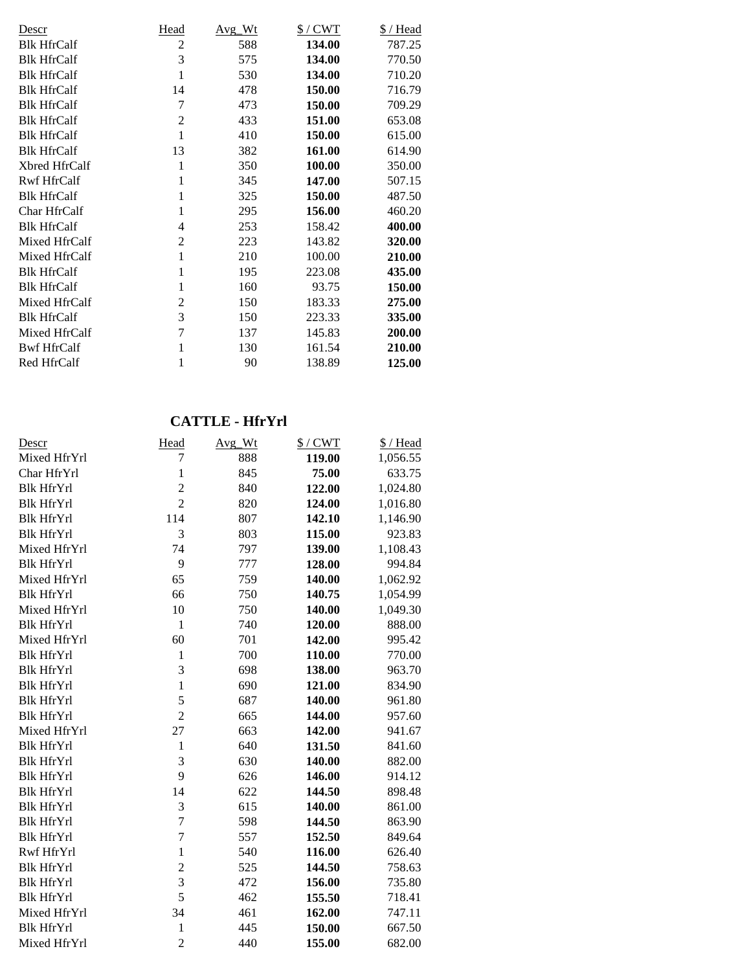| Descr              | Head | Avg Wt | $$/$ CWT | $$/$ Head |
|--------------------|------|--------|----------|-----------|
| <b>Blk HfrCalf</b> | 2    | 588    | 134.00   | 787.25    |
| <b>Blk HfrCalf</b> | 3    | 575    | 134.00   | 770.50    |
| <b>Blk HfrCalf</b> | 1    | 530    | 134.00   | 710.20    |
| <b>Blk HfrCalf</b> | 14   | 478    | 150.00   | 716.79    |
| <b>Blk HfrCalf</b> | 7    | 473    | 150.00   | 709.29    |
| <b>Blk HfrCalf</b> | 2    | 433    | 151.00   | 653.08    |
| <b>Blk HfrCalf</b> | 1    | 410    | 150.00   | 615.00    |
| <b>Blk HfrCalf</b> | 13   | 382    | 161.00   | 614.90    |
| Xbred HfrCalf      | 1    | 350    | 100.00   | 350.00    |
| <b>Rwf HfrCalf</b> | 1    | 345    | 147.00   | 507.15    |
| <b>Blk HfrCalf</b> | 1    | 325    | 150.00   | 487.50    |
| Char HfrCalf       | 1    | 295    | 156.00   | 460.20    |
| <b>Blk HfrCalf</b> | 4    | 253    | 158.42   | 400.00    |
| Mixed HfrCalf      | 2    | 223    | 143.82   | 320.00    |
| Mixed HfrCalf      | 1    | 210    | 100.00   | 210.00    |
| <b>Blk HfrCalf</b> | 1    | 195    | 223.08   | 435.00    |
| <b>Blk HfrCalf</b> | 1    | 160    | 93.75    | 150.00    |
| Mixed HfrCalf      | 2    | 150    | 183.33   | 275.00    |
| <b>Blk HfrCalf</b> | 3    | 150    | 223.33   | 335.00    |
| Mixed HfrCalf      | 7    | 137    | 145.83   | 200.00    |
| <b>Bwf HfrCalf</b> | 1    | 130    | 161.54   | 210.00    |
| Red HfrCalf        | 1    | 90     | 138.89   | 125.00    |

## **CATTLE - HfrYrl**

| Descr             | Head           | Avg Wt | $$/$ CWT | \$/Head  |
|-------------------|----------------|--------|----------|----------|
| Mixed HfrYrl      | 7              | 888    | 119.00   | 1,056.55 |
| Char HfrYrl       | $\mathbf{1}$   | 845    | 75.00    | 633.75   |
| <b>Blk HfrYrl</b> | $\overline{c}$ | 840    | 122.00   | 1,024.80 |
| <b>Blk HfrYrl</b> | $\overline{2}$ | 820    | 124.00   | 1,016.80 |
| <b>Blk HfrYrl</b> | 114            | 807    | 142.10   | 1,146.90 |
| <b>Blk HfrYrl</b> | 3              | 803    | 115.00   | 923.83   |
| Mixed HfrYrl      | 74             | 797    | 139.00   | 1,108.43 |
| <b>Blk HfrYrl</b> | 9              | 777    | 128.00   | 994.84   |
| Mixed HfrYrl      | 65             | 759    | 140.00   | 1,062.92 |
| <b>Blk HfrYrl</b> | 66             | 750    | 140.75   | 1,054.99 |
| Mixed HfrYrl      | 10             | 750    | 140.00   | 1,049.30 |
| <b>Blk HfrYrl</b> | $\mathbf{1}$   | 740    | 120.00   | 888.00   |
| Mixed HfrYrl      | 60             | 701    | 142.00   | 995.42   |
| <b>Blk HfrYrl</b> | $\mathbf{1}$   | 700    | 110.00   | 770.00   |
| <b>Blk HfrYrl</b> | 3              | 698    | 138.00   | 963.70   |
| <b>Blk HfrYrl</b> | $\mathbf{1}$   | 690    | 121.00   | 834.90   |
| <b>Blk HfrYrl</b> | 5              | 687    | 140.00   | 961.80   |
| <b>Blk HfrYrl</b> | $\overline{2}$ | 665    | 144.00   | 957.60   |
| Mixed HfrYrl      | 27             | 663    | 142.00   | 941.67   |
| <b>Blk HfrYrl</b> | $\mathbf{1}$   | 640    | 131.50   | 841.60   |
| <b>Blk HfrYrl</b> | 3              | 630    | 140.00   | 882.00   |
| <b>Blk HfrYrl</b> | 9              | 626    | 146.00   | 914.12   |
| <b>Blk HfrYrl</b> | 14             | 622    | 144.50   | 898.48   |
| <b>Blk HfrYrl</b> | 3              | 615    | 140.00   | 861.00   |
| <b>Blk HfrYrl</b> | $\overline{7}$ | 598    | 144.50   | 863.90   |
| <b>Blk HfrYrl</b> | $\overline{7}$ | 557    | 152.50   | 849.64   |
| Rwf HfrYrl        | $\mathbf{1}$   | 540    | 116.00   | 626.40   |
| <b>Blk HfrYrl</b> | $\overline{c}$ | 525    | 144.50   | 758.63   |
| <b>Blk HfrYrl</b> | 3              | 472    | 156.00   | 735.80   |
| <b>Blk HfrYrl</b> | 5              | 462    | 155.50   | 718.41   |
| Mixed HfrYrl      | 34             | 461    | 162.00   | 747.11   |
| <b>Blk HfrYrl</b> | 1              | 445    | 150.00   | 667.50   |
| Mixed HfrYrl      | $\overline{2}$ | 440    | 155.00   | 682.00   |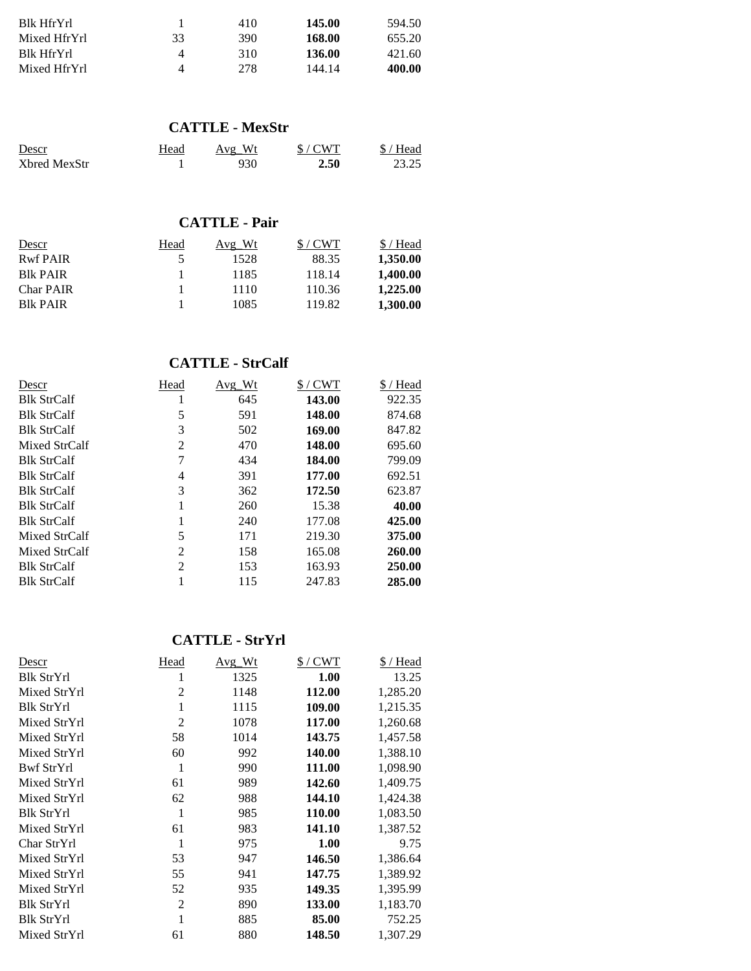| Blk HfrYrl   |    | 410 | 145.00 | 594.50 |
|--------------|----|-----|--------|--------|
| Mixed HfrYrl | 33 | 390 | 168.00 | 655.20 |
| Blk HfrYrl   | 4  | 310 | 136.00 | 421.60 |
| Mixed HfrYrl | Δ  | 278 | 144.14 | 400.00 |

#### **CATTLE - MexStr**

| Descr        | Head | Avg Wt | S/CWT | $$/$ Head |
|--------------|------|--------|-------|-----------|
| Xbred MexStr |      | 930    | 2.50  | 23.25     |

# **CATTLE - Pair**

| Descr                                  | Head | Avg Wt | S/CWT  | \$/Head  |
|----------------------------------------|------|--------|--------|----------|
| <b>Rwf PAIR</b>                        | ↖    | 1528   | 88.35  | 1,350.00 |
| <b>B</b> <sub>R</sub> PA <sub>IR</sub> |      | 1185   | 118.14 | 1,400.00 |
| <b>Char PAIR</b>                       |      | 1110   | 110.36 | 1,225.00 |
| <b>B</b> <sub>R</sub> PA <sub>IR</sub> |      | 1085   | 119.82 | 1.300.00 |

## **CATTLE - StrCalf**

| Descr              | Head | Avg Wt | $$/$ CWT | \$/Head |
|--------------------|------|--------|----------|---------|
| <b>Blk StrCalf</b> |      | 645    | 143.00   | 922.35  |
| <b>Blk StrCalf</b> | 5    | 591    | 148.00   | 874.68  |
| <b>Blk StrCalf</b> | 3    | 502    | 169.00   | 847.82  |
| Mixed StrCalf      | 2    | 470    | 148.00   | 695.60  |
| <b>Blk StrCalf</b> | 7    | 434    | 184.00   | 799.09  |
| <b>Blk StrCalf</b> | 4    | 391    | 177.00   | 692.51  |
| <b>Blk StrCalf</b> | 3    | 362    | 172.50   | 623.87  |
| <b>Blk StrCalf</b> |      | 260    | 15.38    | 40.00   |
| <b>Blk StrCalf</b> |      | 240    | 177.08   | 425.00  |
| Mixed StrCalf      | 5    | 171    | 219.30   | 375.00  |
| Mixed StrCalf      | 2    | 158    | 165.08   | 260.00  |
| <b>Blk StrCalf</b> | 2    | 153    | 163.93   | 250.00  |
| <b>Blk StrCalf</b> |      | 115    | 247.83   | 285.00  |

# **CATTLE - StrYrl**

| Descr        | Head           | Avg Wt | $$/$ CWT | \$/Head  |
|--------------|----------------|--------|----------|----------|
| Blk StrYrl   | 1              | 1325   | 1.00     | 13.25    |
| Mixed StrYrl | $\overline{2}$ | 1148   | 112.00   | 1,285.20 |
| Blk StrYrl   | 1              | 1115   | 109.00   | 1,215.35 |
| Mixed StrYrl | $\overline{2}$ | 1078   | 117.00   | 1,260.68 |
| Mixed StrYrl | 58             | 1014   | 143.75   | 1,457.58 |
| Mixed StrYrl | 60             | 992    | 140.00   | 1,388.10 |
| Bwf StrYrl   | 1              | 990    | 111.00   | 1,098.90 |
| Mixed StrYrl | 61             | 989    | 142.60   | 1,409.75 |
| Mixed StrYrl | 62             | 988    | 144.10   | 1,424.38 |
| Blk StrYrl   | 1              | 985    | 110.00   | 1,083.50 |
| Mixed StrYrl | 61             | 983    | 141.10   | 1,387.52 |
| Char StrYrl  | 1              | 975    | 1.00     | 9.75     |
| Mixed StrYrl | 53             | 947    | 146.50   | 1,386.64 |
| Mixed StrYrl | 55             | 941    | 147.75   | 1,389.92 |
| Mixed StrYrl | 52             | 935    | 149.35   | 1,395.99 |
| Blk StrYrl   | $\overline{2}$ | 890    | 133.00   | 1,183.70 |
| Blk StrYrl   | 1              | 885    | 85.00    | 752.25   |
| Mixed StrYrl | 61             | 880    | 148.50   | 1,307.29 |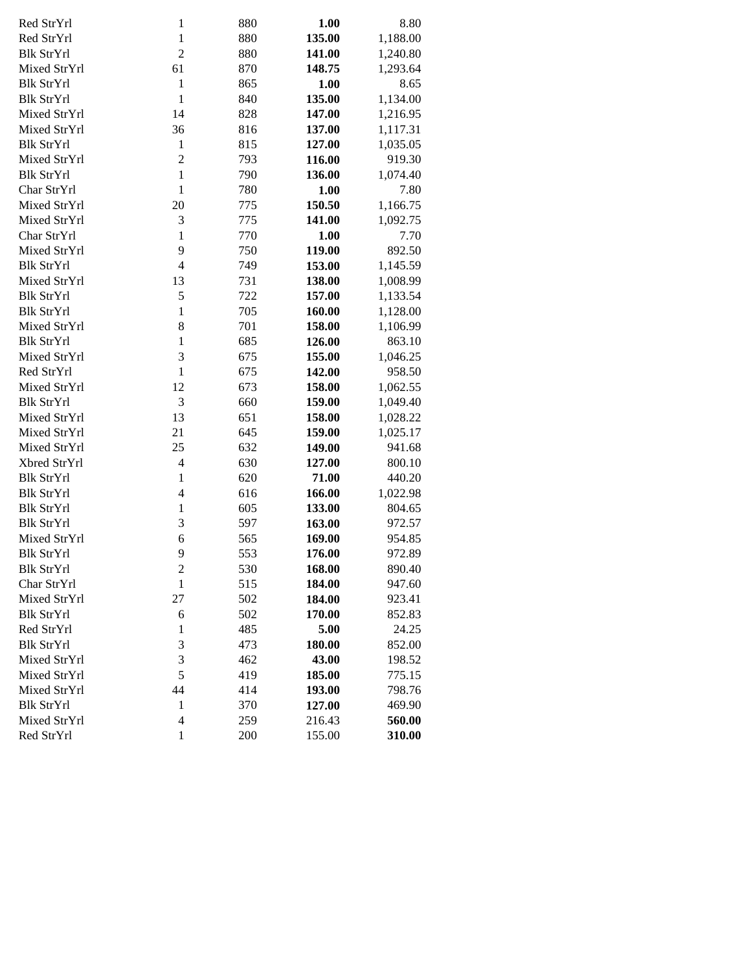| Red StrYrl        | $\mathbf{1}$             | 880 | 1.00   | 8.80     |
|-------------------|--------------------------|-----|--------|----------|
| Red StrYrl        | $\mathbf{1}$             | 880 | 135.00 | 1,188.00 |
| <b>Blk StrYrl</b> | $\overline{c}$           | 880 | 141.00 | 1,240.80 |
| Mixed StrYrl      | 61                       | 870 | 148.75 | 1,293.64 |
| <b>Blk StrYrl</b> | $\mathbf{1}$             | 865 | 1.00   | 8.65     |
| <b>Blk StrYrl</b> | $\mathbf{1}$             | 840 | 135.00 | 1,134.00 |
| Mixed StrYrl      | 14                       | 828 | 147.00 | 1,216.95 |
| Mixed StrYrl      | 36                       | 816 | 137.00 | 1,117.31 |
| <b>Blk StrYrl</b> | $\mathbf{1}$             | 815 | 127.00 | 1,035.05 |
| Mixed StrYrl      | $\overline{c}$           | 793 | 116.00 | 919.30   |
| <b>Blk StrYrl</b> | $\mathbf{1}$             | 790 | 136.00 | 1,074.40 |
| Char StrYrl       | $\mathbf{1}$             | 780 | 1.00   | 7.80     |
| Mixed StrYrl      | 20                       | 775 | 150.50 | 1,166.75 |
| Mixed StrYrl      | 3                        | 775 | 141.00 | 1,092.75 |
| Char StrYrl       | $\mathbf{1}$             | 770 | 1.00   | 7.70     |
| Mixed StrYrl      | 9                        | 750 | 119.00 | 892.50   |
| <b>Blk StrYrl</b> | $\overline{\mathcal{L}}$ | 749 | 153.00 | 1,145.59 |
| Mixed StrYrl      | 13                       | 731 | 138.00 | 1,008.99 |
| <b>Blk StrYrl</b> | 5                        | 722 | 157.00 | 1,133.54 |
| <b>Blk StrYrl</b> | $\mathbf{1}$             | 705 | 160.00 | 1,128.00 |
| Mixed StrYrl      | 8                        | 701 | 158.00 | 1,106.99 |
| <b>Blk StrYrl</b> | $\mathbf{1}$             | 685 | 126.00 | 863.10   |
| Mixed StrYrl      | 3                        | 675 | 155.00 | 1,046.25 |
| Red StrYrl        | $\mathbf{1}$             | 675 | 142.00 | 958.50   |
| Mixed StrYrl      | 12                       | 673 | 158.00 | 1,062.55 |
| <b>Blk StrYrl</b> | 3                        | 660 | 159.00 | 1,049.40 |
| Mixed StrYrl      | 13                       | 651 | 158.00 | 1,028.22 |
| Mixed StrYrl      | 21                       | 645 | 159.00 | 1,025.17 |
| Mixed StrYrl      | 25                       | 632 | 149.00 | 941.68   |
| Xbred StrYrl      | $\overline{4}$           | 630 | 127.00 | 800.10   |
| <b>Blk StrYrl</b> | $\mathbf{1}$             | 620 | 71.00  | 440.20   |
| <b>Blk StrYrl</b> | 4                        | 616 | 166.00 | 1,022.98 |
| <b>Blk StrYrl</b> | $\mathbf{1}$             | 605 | 133.00 | 804.65   |
| <b>Blk StrYrl</b> | 3                        | 597 | 163.00 | 972.57   |
| Mixed StrYrl      | 6                        | 565 | 169.00 | 954.85   |
| <b>Blk StrYrl</b> | 9                        | 553 | 176.00 | 972.89   |
| Blk StrYrl        | $\overline{\mathbf{c}}$  | 530 | 168.00 | 890.40   |
| Char StrYrl       | $\mathbf{1}$             | 515 | 184.00 | 947.60   |
| Mixed StrYrl      | 27                       | 502 | 184.00 | 923.41   |
| <b>Blk StrYrl</b> | 6                        | 502 | 170.00 | 852.83   |
| Red StrYrl        | $\mathbf{1}$             | 485 | 5.00   | 24.25    |
| <b>Blk StrYrl</b> | 3                        | 473 | 180.00 | 852.00   |
| Mixed StrYrl      | 3                        | 462 | 43.00  | 198.52   |
| Mixed StrYrl      | 5                        | 419 | 185.00 | 775.15   |
| Mixed StrYrl      | 44                       | 414 | 193.00 | 798.76   |
| <b>Blk StrYrl</b> | $\mathbf{1}$             | 370 | 127.00 | 469.90   |
| Mixed StrYrl      | 4                        | 259 | 216.43 | 560.00   |
| Red StrYrl        | 1                        | 200 | 155.00 | 310.00   |